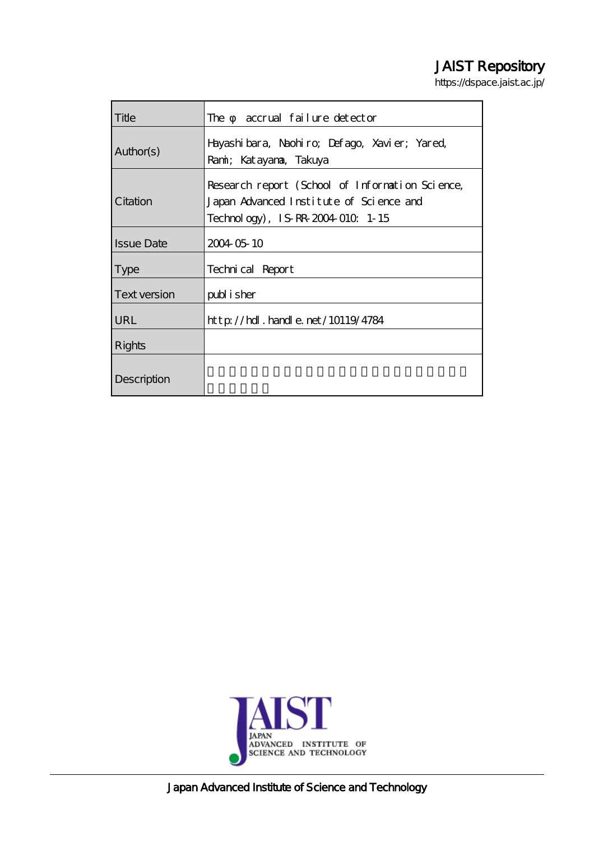# JAIST Repository

https://dspace.jaist.ac.jp/

| Title               | accrual failure detector<br>The                                                                                                 |
|---------------------|---------------------------------------------------------------------------------------------------------------------------------|
| Author(s)           | Hayashibara, Naohiro, Defago, Xavier; Yared,<br>Rami; Katayana, Takuya                                                          |
| Citation            | Research report (School of Information Science,<br>Japan Advanced Institute of Science and<br>Technology), IS-RR-2004-010. 1-15 |
| <b>Issue Date</b>   | 2004 05 10                                                                                                                      |
| <b>Type</b>         | Technical Report                                                                                                                |
| <b>Text version</b> | publisher                                                                                                                       |
| <b>URL</b>          | $http$ // $hdl$ . $hardle$ . $net/10119/4784$                                                                                   |
| <b>Rights</b>       |                                                                                                                                 |
| Description         |                                                                                                                                 |



Japan Advanced Institute of Science and Technology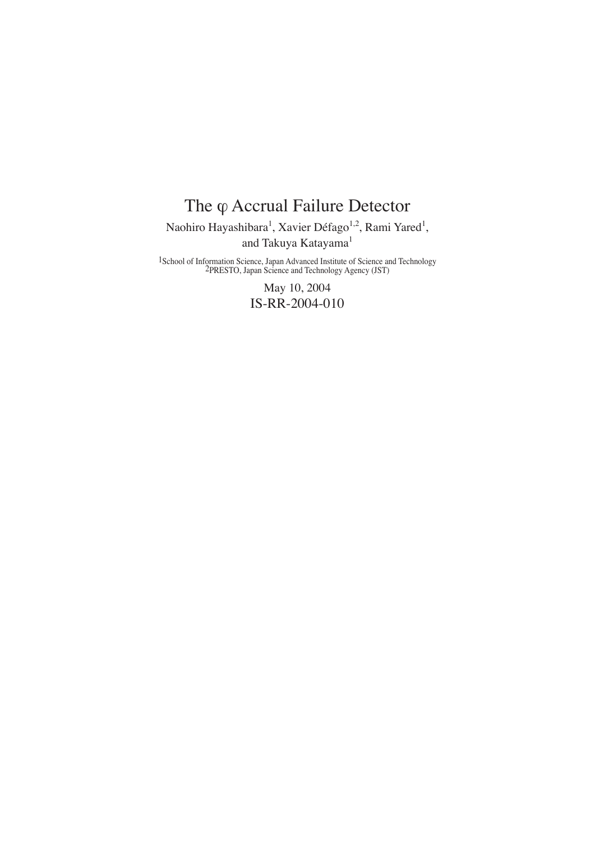# The φ Accrual Failure Detector Naohiro Hayashibara<sup>1</sup>, Xavier Défago<sup>1,2</sup>, Rami Yared<sup>1</sup>, and Takuya Katayama<sup>1</sup>

1School of Information Science, Japan Advanced Institute of Science and Technology 2PRESTO, Japan Science and Technology Agency (JST)

May 10, 2004 IS-RR-2004-010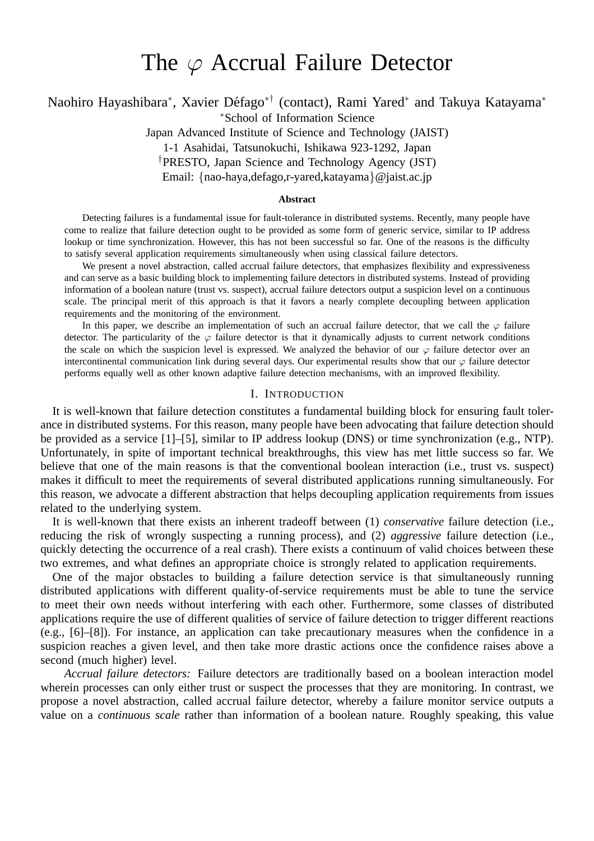# The  $\varphi$  Accrual Failure Detector

Naohiro Hayashibara\*, Xavier Défago<sup>\*†</sup> (contact), Rami Yared\* and Takuya Katayama\*

<sup>∗</sup>School of Information Science

Japan Advanced Institute of Science and Technology (JAIST)

1-1 Asahidai, Tatsunokuchi, Ishikawa 923-1292, Japan

†PRESTO, Japan Science and Technology Agency (JST)

Email: {nao-haya,defago,r-yared,katayama}@jaist.ac.jp

#### **Abstract**

Detecting failures is a fundamental issue for fault-tolerance in distributed systems. Recently, many people have come to realize that failure detection ought to be provided as some form of generic service, similar to IP address lookup or time synchronization. However, this has not been successful so far. One of the reasons is the difficulty to satisfy several application requirements simultaneously when using classical failure detectors.

We present a novel abstraction, called accrual failure detectors, that emphasizes flexibility and expressiveness and can serve as a basic building block to implementing failure detectors in distributed systems. Instead of providing information of a boolean nature (trust vs. suspect), accrual failure detectors output a suspicion level on a continuous scale. The principal merit of this approach is that it favors a nearly complete decoupling between application requirements and the monitoring of the environment.

In this paper, we describe an implementation of such an accrual failure detector, that we call the  $\varphi$  failure detector. The particularity of the  $\varphi$  failure detector is that it dynamically adjusts to current network conditions the scale on which the suspicion level is expressed. We analyzed the behavior of our  $\varphi$  failure detector over an intercontinental communication link during several days. Our experimental results show that our  $\varphi$  failure detector performs equally well as other known adaptive failure detection mechanisms, with an improved flexibility.

# I. INTRODUCTION

It is well-known that failure detection constitutes a fundamental building block for ensuring fault tolerance in distributed systems. For this reason, many people have been advocating that failure detection should be provided as a service [1]–[5], similar to IP address lookup (DNS) or time synchronization (e.g., NTP). Unfortunately, in spite of important technical breakthroughs, this view has met little success so far. We believe that one of the main reasons is that the conventional boolean interaction (i.e., trust vs. suspect) makes it difficult to meet the requirements of several distributed applications running simultaneously. For this reason, we advocate a different abstraction that helps decoupling application requirements from issues related to the underlying system.

It is well-known that there exists an inherent tradeoff between (1) *conservative* failure detection (i.e., reducing the risk of wrongly suspecting a running process), and (2) *aggressive* failure detection (i.e., quickly detecting the occurrence of a real crash). There exists a continuum of valid choices between these two extremes, and what defines an appropriate choice is strongly related to application requirements.

One of the major obstacles to building a failure detection service is that simultaneously running distributed applications with different quality-of-service requirements must be able to tune the service to meet their own needs without interfering with each other. Furthermore, some classes of distributed applications require the use of different qualities of service of failure detection to trigger different reactions (e.g., [6]–[8]). For instance, an application can take precautionary measures when the confidence in a suspicion reaches a given level, and then take more drastic actions once the confidence raises above a second (much higher) level.

*Accrual failure detectors:* Failure detectors are traditionally based on a boolean interaction model wherein processes can only either trust or suspect the processes that they are monitoring. In contrast, we propose a novel abstraction, called accrual failure detector, whereby a failure monitor service outputs a value on a *continuous scale* rather than information of a boolean nature. Roughly speaking, this value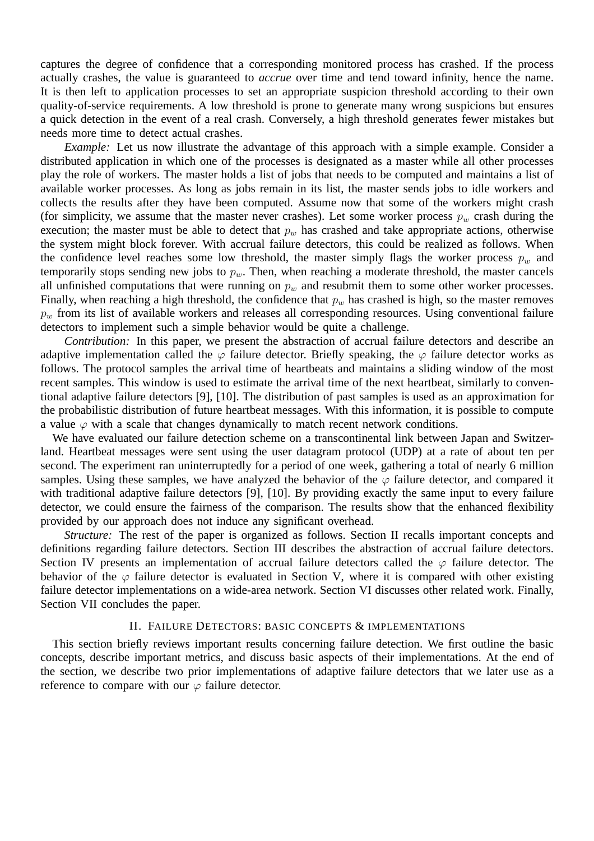captures the degree of confidence that a corresponding monitored process has crashed. If the process actually crashes, the value is guaranteed to *accrue* over time and tend toward infinity, hence the name. It is then left to application processes to set an appropriate suspicion threshold according to their own quality-of-service requirements. A low threshold is prone to generate many wrong suspicions but ensures a quick detection in the event of a real crash. Conversely, a high threshold generates fewer mistakes but needs more time to detect actual crashes.

*Example:* Let us now illustrate the advantage of this approach with a simple example. Consider a distributed application in which one of the processes is designated as a master while all other processes play the role of workers. The master holds a list of jobs that needs to be computed and maintains a list of available worker processes. As long as jobs remain in its list, the master sends jobs to idle workers and collects the results after they have been computed. Assume now that some of the workers might crash (for simplicity, we assume that the master never crashes). Let some worker process  $p_w$  crash during the execution; the master must be able to detect that  $p_w$  has crashed and take appropriate actions, otherwise the system might block forever. With accrual failure detectors, this could be realized as follows. When the confidence level reaches some low threshold, the master simply flags the worker process  $p_w$  and temporarily stops sending new jobs to  $p_w$ . Then, when reaching a moderate threshold, the master cancels all unfinished computations that were running on  $p_w$  and resubmit them to some other worker processes. Finally, when reaching a high threshold, the confidence that  $p_w$  has crashed is high, so the master removes  $p_w$  from its list of available workers and releases all corresponding resources. Using conventional failure detectors to implement such a simple behavior would be quite a challenge.

*Contribution:* In this paper, we present the abstraction of accrual failure detectors and describe an adaptive implementation called the  $\varphi$  failure detector. Briefly speaking, the  $\varphi$  failure detector works as follows. The protocol samples the arrival time of heartbeats and maintains a sliding window of the most recent samples. This window is used to estimate the arrival time of the next heartbeat, similarly to conventional adaptive failure detectors [9], [10]. The distribution of past samples is used as an approximation for the probabilistic distribution of future heartbeat messages. With this information, it is possible to compute a value  $\varphi$  with a scale that changes dynamically to match recent network conditions.

We have evaluated our failure detection scheme on a transcontinental link between Japan and Switzerland. Heartbeat messages were sent using the user datagram protocol (UDP) at a rate of about ten per second. The experiment ran uninterruptedly for a period of one week, gathering a total of nearly 6 million samples. Using these samples, we have analyzed the behavior of the  $\varphi$  failure detector, and compared it with traditional adaptive failure detectors [9], [10]. By providing exactly the same input to every failure detector, we could ensure the fairness of the comparison. The results show that the enhanced flexibility provided by our approach does not induce any significant overhead.

*Structure:* The rest of the paper is organized as follows. Section II recalls important concepts and definitions regarding failure detectors. Section III describes the abstraction of accrual failure detectors. Section IV presents an implementation of accrual failure detectors called the  $\varphi$  failure detector. The behavior of the  $\varphi$  failure detector is evaluated in Section V, where it is compared with other existing failure detector implementations on a wide-area network. Section VI discusses other related work. Finally, Section VII concludes the paper.

#### II. FAILURE DETECTORS: BASIC CONCEPTS & IMPLEMENTATIONS

This section briefly reviews important results concerning failure detection. We first outline the basic concepts, describe important metrics, and discuss basic aspects of their implementations. At the end of the section, we describe two prior implementations of adaptive failure detectors that we later use as a reference to compare with our  $\varphi$  failure detector.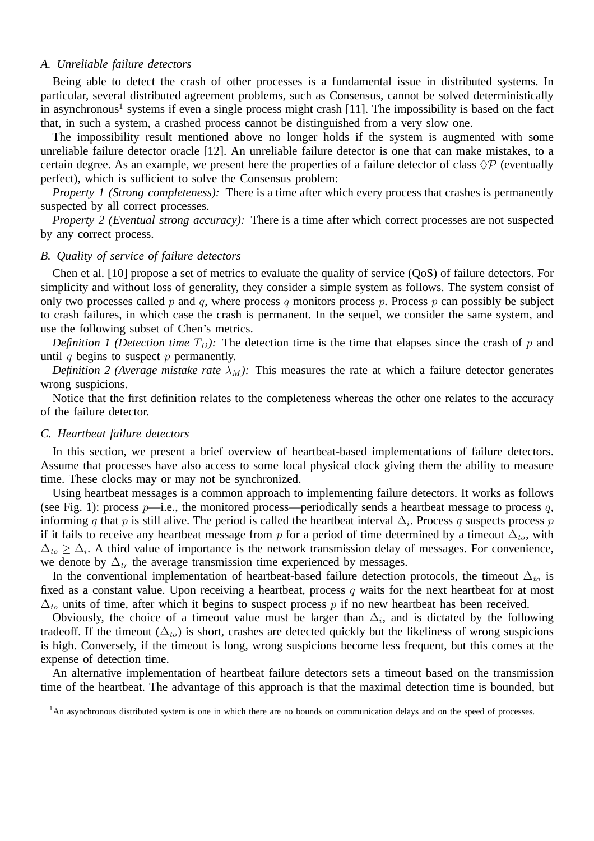#### *A. Unreliable failure detectors*

Being able to detect the crash of other processes is a fundamental issue in distributed systems. In particular, several distributed agreement problems, such as Consensus, cannot be solved deterministically in asynchronous<sup>1</sup> systems if even a single process might crash [11]. The impossibility is based on the fact that, in such a system, a crashed process cannot be distinguished from a very slow one.

The impossibility result mentioned above no longer holds if the system is augmented with some unreliable failure detector oracle [12]. An unreliable failure detector is one that can make mistakes, to a certain degree. As an example, we present here the properties of a failure detector of class  $\Diamond P$  (eventually perfect), which is sufficient to solve the Consensus problem:

*Property 1 (Strong completeness):* There is a time after which every process that crashes is permanently suspected by all correct processes.

*Property 2 (Eventual strong accuracy):* There is a time after which correct processes are not suspected by any correct process.

### *B. Quality of service of failure detectors*

Chen et al. [10] propose a set of metrics to evaluate the quality of service (QoS) of failure detectors. For simplicity and without loss of generality, they consider a simple system as follows. The system consist of only two processes called p and q, where process q monitors process p. Process p can possibly be subject to crash failures, in which case the crash is permanent. In the sequel, we consider the same system, and use the following subset of Chen's metrics.

*Definition 1 (Detection time*  $T_D$ ): The detection time is the time that elapses since the crash of p and until  $q$  begins to suspect  $p$  permanently.

*Definition 2 (Average mistake rate*  $\lambda_M$ ): This measures the rate at which a failure detector generates wrong suspicions.

Notice that the first definition relates to the completeness whereas the other one relates to the accuracy of the failure detector.

#### *C. Heartbeat failure detectors*

In this section, we present a brief overview of heartbeat-based implementations of failure detectors. Assume that processes have also access to some local physical clock giving them the ability to measure time. These clocks may or may not be synchronized.

Using heartbeat messages is a common approach to implementing failure detectors. It works as follows (see Fig. 1): process  $p$ —i.e., the monitored process—periodically sends a heartbeat message to process q, informing q that p is still alive. The period is called the heartbeat interval  $\Delta_i$ . Process q suspects process p if it fails to receive any heartbeat message from p for a period of time determined by a timeout  $\Delta_{to}$ , with  $\Delta_{to} \geq \Delta_i$ . A third value of importance is the network transmission delay of messages. For convenience, we denote by  $\Delta_{tr}$  the average transmission time experienced by messages.

In the conventional implementation of heartbeat-based failure detection protocols, the timeout  $\Delta_{to}$  is fixed as a constant value. Upon receiving a heartbeat, process  $q$  waits for the next heartbeat for at most  $\Delta_{to}$  units of time, after which it begins to suspect process p if no new heartbeat has been received.

Obviously, the choice of a timeout value must be larger than  $\Delta_i$ , and is dictated by the following tradeoff. If the timeout  $(\Delta_{to})$  is short, crashes are detected quickly but the likeliness of wrong suspicions is high. Conversely, if the timeout is long, wrong suspicions become less frequent, but this comes at the expense of detection time.

An alternative implementation of heartbeat failure detectors sets a timeout based on the transmission time of the heartbeat. The advantage of this approach is that the maximal detection time is bounded, but

<sup>&</sup>lt;sup>1</sup>An asynchronous distributed system is one in which there are no bounds on communication delays and on the speed of processes.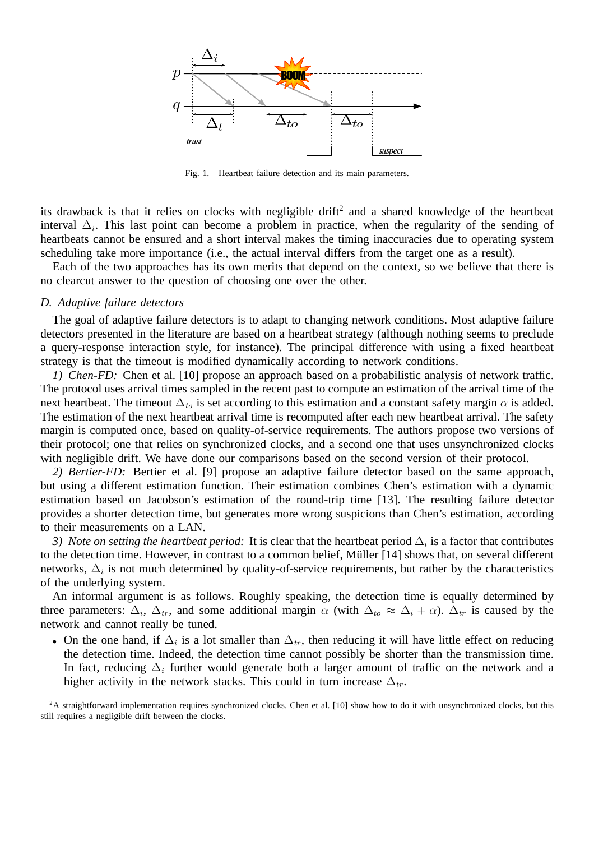

Fig. 1. Heartbeat failure detection and its main parameters.

its drawback is that it relies on clocks with negligible drift 2 and a shared knowledge of the heartbeat interval  $\Delta_i$ . This last point can become a problem in practice, when the regularity of the sending of heartbeats cannot be ensured and a short interval makes the timing inaccuracies due to operating system scheduling take more importance (i.e., the actual interval differs from the target one as a result).

Each of the two approaches has its own merits that depend on the context, so we believe that there is no clearcut answer to the question of choosing one over the other.

#### *D. Adaptive failure detectors*

The goal of adaptive failure detectors is to adapt to changing network conditions. Most adaptive failure detectors presented in the literature are based on a heartbeat strategy (although nothing seems to preclude a query-response interaction style, for instance). The principal difference with using a fixed heartbeat strategy is that the timeout is modified dynamically according to network conditions.

*1) Chen-FD:* Chen et al. [10] propose an approach based on a probabilistic analysis of network traffic. The protocol uses arrival times sampled in the recent past to compute an estimation of the arrival time of the next heartbeat. The timeout  $\Delta_{to}$  is set according to this estimation and a constant safety margin  $\alpha$  is added. The estimation of the next heartbeat arrival time is recomputed after each new heartbeat arrival. The safety margin is computed once, based on quality-of-service requirements. The authors propose two versions of their protocol; one that relies on synchronized clocks, and a second one that uses unsynchronized clocks with negligible drift. We have done our comparisons based on the second version of their protocol.

*2) Bertier-FD:* Bertier et al. [9] propose an adaptive failure detector based on the same approach, but using a different estimation function. Their estimation combines Chen's estimation with a dynamic estimation based on Jacobson's estimation of the round-trip time [13]. The resulting failure detector provides a shorter detection time, but generates more wrong suspicions than Chen's estimation, according to their measurements on a LAN.

*3) Note on setting the heartbeat period:* It is clear that the heartbeat period  $\Delta_i$  is a factor that contributes to the detection time. However, in contrast to a common belief, Müller [14] shows that, on several different networks,  $\Delta_i$  is not much determined by quality-of-service requirements, but rather by the characteristics of the underlying system.

An informal argument is as follows. Roughly speaking, the detection time is equally determined by three parameters:  $\Delta_i$ ,  $\Delta_{tr}$ , and some additional margin  $\alpha$  (with  $\Delta_{to} \approx \Delta_i + \alpha$ ).  $\Delta_{tr}$  is caused by the network and cannot really be tuned.

• On the one hand, if  $\Delta_i$  is a lot smaller than  $\Delta_{tr}$ , then reducing it will have little effect on reducing the detection time. Indeed, the detection time cannot possibly be shorter than the transmission time. In fact, reducing  $\Delta_i$  further would generate both a larger amount of traffic on the network and a higher activity in the network stacks. This could in turn increase  $\Delta_{tr}$ .

<sup>2</sup>A straightforward implementation requires synchronized clocks. Chen et al. [10] show how to do it with unsynchronized clocks, but this still requires a negligible drift between the clocks.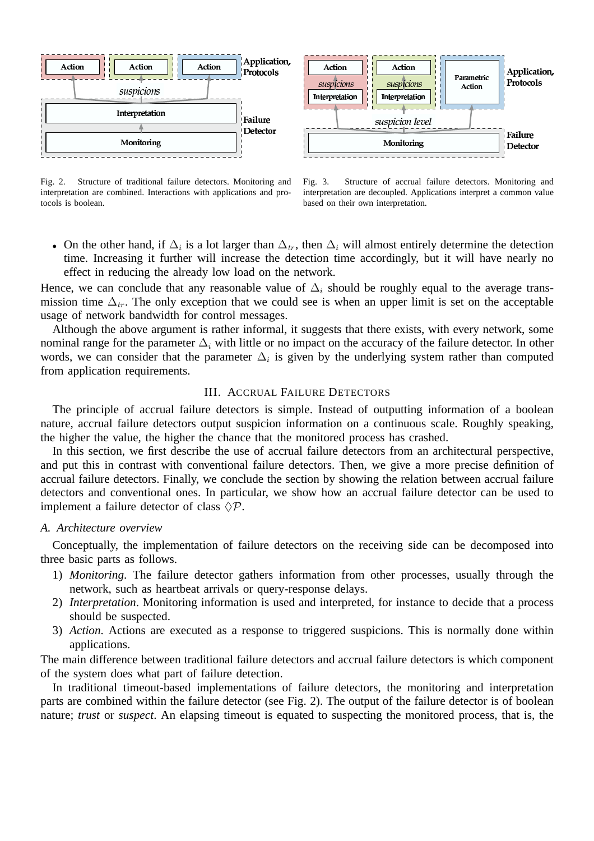

Fig. 2. Structure of traditional failure detectors. Monitoring and interpretation are combined. Interactions with applications and protocols is boolean.



• On the other hand, if  $\Delta_i$  is a lot larger than  $\Delta_{tr}$ , then  $\Delta_i$  will almost entirely determine the detection time. Increasing it further will increase the detection time accordingly, but it will have nearly no effect in reducing the already low load on the network.

Hence, we can conclude that any reasonable value of  $\Delta_i$  should be roughly equal to the average transmission time  $\Delta_{tr}$ . The only exception that we could see is when an upper limit is set on the acceptable usage of network bandwidth for control messages.

Although the above argument is rather informal, it suggests that there exists, with every network, some nominal range for the parameter  $\Delta_i$  with little or no impact on the accuracy of the failure detector. In other words, we can consider that the parameter  $\Delta_i$  is given by the underlying system rather than computed from application requirements.

# III. ACCRUAL FAILURE DETECTORS

The principle of accrual failure detectors is simple. Instead of outputting information of a boolean nature, accrual failure detectors output suspicion information on a continuous scale. Roughly speaking, the higher the value, the higher the chance that the monitored process has crashed.

In this section, we first describe the use of accrual failure detectors from an architectural perspective, and put this in contrast with conventional failure detectors. Then, we give a more precise definition of accrual failure detectors. Finally, we conclude the section by showing the relation between accrual failure detectors and conventional ones. In particular, we show how an accrual failure detector can be used to implement a failure detector of class  $\Diamond P$ .

#### *A. Architecture overview*

Conceptually, the implementation of failure detectors on the receiving side can be decomposed into three basic parts as follows.

- 1) *Monitoring*. The failure detector gathers information from other processes, usually through the network, such as heartbeat arrivals or query-response delays.
- 2) *Interpretation*. Monitoring information is used and interpreted, for instance to decide that a process should be suspected.
- 3) *Action*. Actions are executed as a response to triggered suspicions. This is normally done within applications.

The main difference between traditional failure detectors and accrual failure detectors is which component of the system does what part of failure detection.

In traditional timeout-based implementations of failure detectors, the monitoring and interpretation parts are combined within the failure detector (see Fig. 2). The output of the failure detector is of boolean nature; *trust* or *suspect*. An elapsing timeout is equated to suspecting the monitored process, that is, the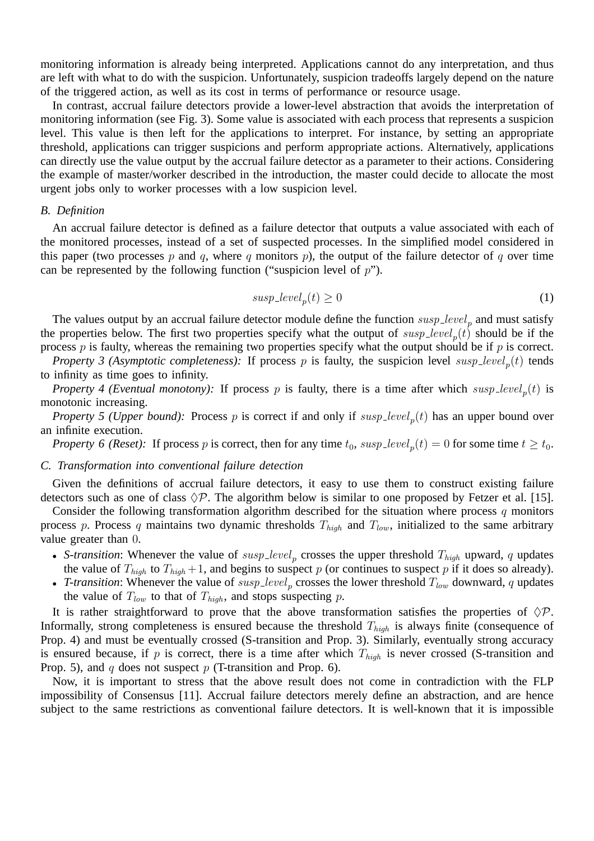monitoring information is already being interpreted. Applications cannot do any interpretation, and thus are left with what to do with the suspicion. Unfortunately, suspicion tradeoffs largely depend on the nature of the triggered action, as well as its cost in terms of performance or resource usage.

In contrast, accrual failure detectors provide a lower-level abstraction that avoids the interpretation of monitoring information (see Fig. 3). Some value is associated with each process that represents a suspicion level. This value is then left for the applications to interpret. For instance, by setting an appropriate threshold, applications can trigger suspicions and perform appropriate actions. Alternatively, applications can directly use the value output by the accrual failure detector as a parameter to their actions. Considering the example of master/worker described in the introduction, the master could decide to allocate the most urgent jobs only to worker processes with a low suspicion level.

#### *B. Definition*

An accrual failure detector is defined as a failure detector that outputs a value associated with each of the monitored processes, instead of a set of suspected processes. In the simplified model considered in this paper (two processes p and q, where q monitors p), the output of the failure detector of q over time can be represented by the following function ("suspicion level of  $p$ ").

$$
susp\_level_p(t) \ge 0
$$
 (1)

The values output by an accrual failure detector module define the function  $susp\_level_p$  and must satisfy the properties below. The first two properties specify what the output of  $susp\_level_p(t)$  should be if the process  $p$  is faulty, whereas the remaining two properties specify what the output should be if  $p$  is correct.

*Property 3 (Asymptotic completeness):* If process p is faulty, the suspicion level  $susp\_level_p(t)$  tends to infinity as time goes to infinity.

*Property 4 (Eventual monotony):* If process p is faulty, there is a time after which  $susp\_level_p(t)$  is monotonic increasing.

*Property 5 (Upper bound):* Process p is correct if and only if  $susp\_level_p(t)$  has an upper bound over an infinite execution.

*Property 6 (Reset):* If process p is correct, then for any time  $t_0$ ,  $susp\_level_p(t) = 0$  for some time  $t \ge t_0$ .

#### *C. Transformation into conventional failure detection*

Given the definitions of accrual failure detectors, it easy to use them to construct existing failure detectors such as one of class  $\Diamond P$ . The algorithm below is similar to one proposed by Fetzer et al. [15].

Consider the following transformation algorithm described for the situation where process q monitors process p. Process q maintains two dynamic thresholds  $T_{high}$  and  $T_{low}$ , initialized to the same arbitrary value greater than 0.

- *S-transition*: Whenever the value of  $susp\_level_p$  crosses the upper threshold  $T_{high}$  upward, q updates the value of  $T_{high}$  to  $T_{high}$  +1, and begins to suspect p (or continues to suspect p if it does so already).
- *T-transition*: Whenever the value of  $susp\_level_p$  crosses the lower threshold  $T_{low}$  downward, q updates the value of  $T_{low}$  to that of  $T_{high}$ , and stops suspecting p.

It is rather straightforward to prove that the above transformation satisfies the properties of  $\Diamond P$ . Informally, strong completeness is ensured because the threshold  $T_{high}$  is always finite (consequence of Prop. 4) and must be eventually crossed (S-transition and Prop. 3). Similarly, eventually strong accuracy is ensured because, if p is correct, there is a time after which  $T_{high}$  is never crossed (S-transition and Prop. 5), and q does not suspect  $p$  (T-transition and Prop. 6).

Now, it is important to stress that the above result does not come in contradiction with the FLP impossibility of Consensus [11]. Accrual failure detectors merely define an abstraction, and are hence subject to the same restrictions as conventional failure detectors. It is well-known that it is impossible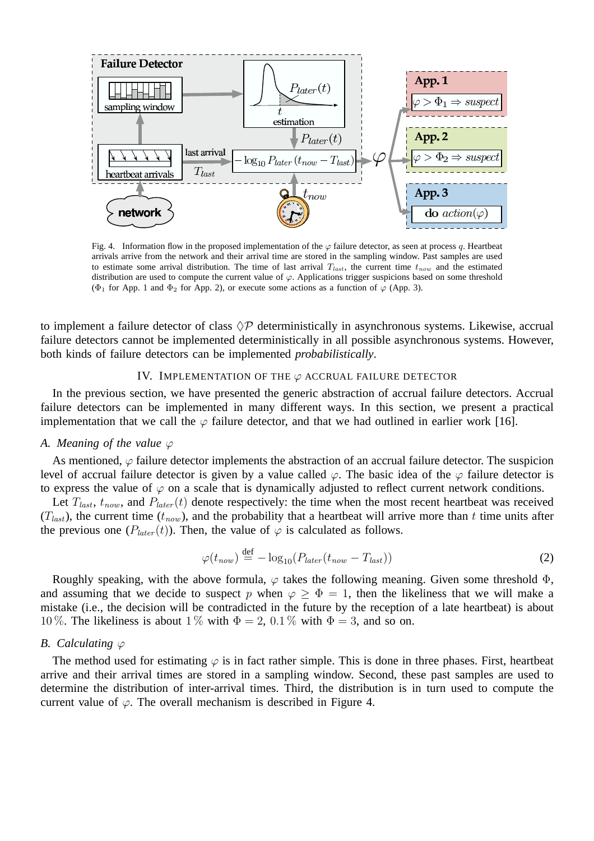

Fig. 4. Information flow in the proposed implementation of the  $\varphi$  failure detector, as seen at process q. Heartbeat arrivals arrive from the network and their arrival time are stored in the sampling window. Past samples are used to estimate some arrival distribution. The time of last arrival  $T_{last}$ , the current time  $t_{now}$  and the estimated distribution are used to compute the current value of  $\varphi$ . Applications trigger suspicions based on some threshold ( $\Phi_1$  for App. 1 and  $\Phi_2$  for App. 2), or execute some actions as a function of  $\varphi$  (App. 3).

to implement a failure detector of class  $\Diamond P$  deterministically in asynchronous systems. Likewise, accrual failure detectors cannot be implemented deterministically in all possible asynchronous systems. However, both kinds of failure detectors can be implemented *probabilistically*.

# IV. IMPLEMENTATION OF THE  $\varphi$  accrual failure detector

In the previous section, we have presented the generic abstraction of accrual failure detectors. Accrual failure detectors can be implemented in many different ways. In this section, we present a practical implementation that we call the  $\varphi$  failure detector, and that we had outlined in earlier work [16].

# *A. Meaning of the value*  $\varphi$

As mentioned,  $\varphi$  failure detector implements the abstraction of an accrual failure detector. The suspicion level of accrual failure detector is given by a value called  $\varphi$ . The basic idea of the  $\varphi$  failure detector is to express the value of  $\varphi$  on a scale that is dynamically adjusted to reflect current network conditions.

Let  $T_{last}$ ,  $t_{now}$ , and  $P_{later}(t)$  denote respectively: the time when the most recent heartbeat was received  $(T_{last})$ , the current time  $(t_{now})$ , and the probability that a heartbeat will arrive more than t time units after the previous one ( $P_{later}(t)$ ). Then, the value of  $\varphi$  is calculated as follows.

$$
\varphi(t_{now}) \stackrel{\text{def}}{=} -\log_{10}(P_{later}(t_{now} - T_{last})) \tag{2}
$$

Roughly speaking, with the above formula,  $\varphi$  takes the following meaning. Given some threshold  $\Phi$ , and assuming that we decide to suspect p when  $\varphi \geq \Phi = 1$ , then the likeliness that we will make a mistake (i.e., the decision will be contradicted in the future by the reception of a late heartbeat) is about 10 %. The likeliness is about 1 % with  $\Phi = 2$ , 0.1 % with  $\Phi = 3$ , and so on.

# *B.* Calculating  $\varphi$

The method used for estimating  $\varphi$  is in fact rather simple. This is done in three phases. First, heartbeat arrive and their arrival times are stored in a sampling window. Second, these past samples are used to determine the distribution of inter-arrival times. Third, the distribution is in turn used to compute the current value of  $\varphi$ . The overall mechanism is described in Figure 4.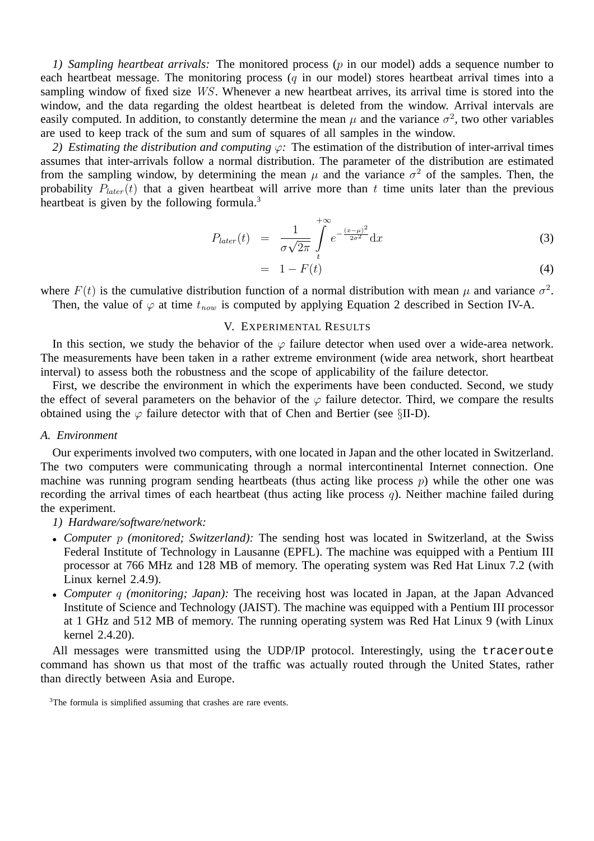*1) Sampling heartbeat arrivals:* The monitored process (p in our model) adds a sequence number to each heartbeat message. The monitoring process  $(q$  in our model) stores heartbeat arrival times into a sampling window of fixed size WS. Whenever a new heartbeat arrives, its arrival time is stored into the window, and the data regarding the oldest heartbeat is deleted from the window. Arrival intervals are easily computed. In addition, to constantly determine the mean  $\mu$  and the variance  $\sigma^2$ , two other variables are used to keep track of the sum and sum of squares of all samples in the window.

*2) Estimating the distribution and computing* ϕ*:* The estimation of the distribution of inter-arrival times assumes that inter-arrivals follow a normal distribution. The parameter of the distribution are estimated from the sampling window, by determining the mean  $\mu$  and the variance  $\sigma^2$  of the samples. Then, the probability  $P_{later}(t)$  that a given heartbeat will arrive more than t time units later than the previous heartbeat is given by the following formula.<sup>3</sup>

$$
P_{later}(t) = \frac{1}{\sigma\sqrt{2\pi}} \int_{t}^{+\infty} e^{-\frac{(x-\mu)^2}{2\sigma^2}} dx
$$
 (3)

$$
= 1 - F(t) \tag{4}
$$

where  $F(t)$  is the cumulative distribution function of a normal distribution with mean  $\mu$  and variance  $\sigma^2$ . Then, the value of  $\varphi$  at time  $t_{now}$  is computed by applying Equation 2 described in Section IV-A.

# V. EXPERIMENTAL RESULTS

In this section, we study the behavior of the  $\varphi$  failure detector when used over a wide-area network. The measurements have been taken in a rather extreme environment (wide area network, short heartbeat interval) to assess both the robustness and the scope of applicability of the failure detector.

First, we describe the environment in which the experiments have been conducted. Second, we study the effect of several parameters on the behavior of the  $\varphi$  failure detector. Third, we compare the results obtained using the  $\varphi$  failure detector with that of Chen and Bertier (see §II-D).

#### *A. Environment*

Our experiments involved two computers, with one located in Japan and the other located in Switzerland. The two computers were communicating through a normal intercontinental Internet connection. One machine was running program sending heartbeats (thus acting like process  $p$ ) while the other one was recording the arrival times of each heartbeat (thus acting like process  $q$ ). Neither machine failed during the experiment.

*1) Hardware/software/network:*

- *Computer* p *(monitored; Switzerland):* The sending host was located in Switzerland, at the Swiss Federal Institute of Technology in Lausanne (EPFL). The machine was equipped with a Pentium III processor at 766 MHz and 128 MB of memory. The operating system was Red Hat Linux 7.2 (with Linux kernel 2.4.9).
- *Computer* q *(monitoring; Japan):* The receiving host was located in Japan, at the Japan Advanced Institute of Science and Technology (JAIST). The machine was equipped with a Pentium III processor at 1 GHz and 512 MB of memory. The running operating system was Red Hat Linux 9 (with Linux kernel 2.4.20).

All messages were transmitted using the UDP/IP protocol. Interestingly, using the traceroute command has shown us that most of the traffic was actually routed through the United States, rather than directly between Asia and Europe.

<sup>&</sup>lt;sup>3</sup>The formula is simplified assuming that crashes are rare events.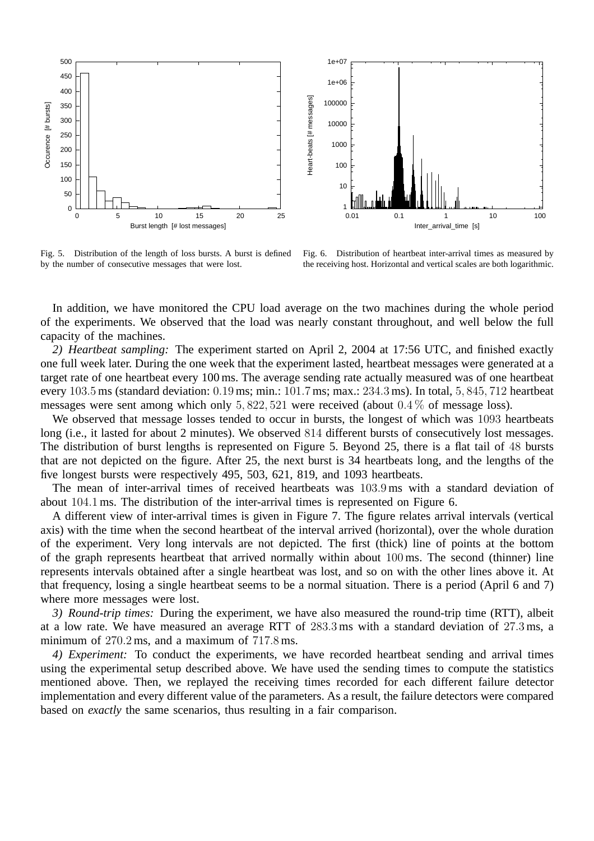

Fig. 5. Distribution of the length of loss bursts. A burst is defined by the number of consecutive messages that were lost.

Fig. 6. Distribution of heartbeat inter-arrival times as measured by the receiving host. Horizontal and vertical scales are both logarithmic.

In addition, we have monitored the CPU load average on the two machines during the whole period of the experiments. We observed that the load was nearly constant throughout, and well below the full capacity of the machines.

*2) Heartbeat sampling:* The experiment started on April 2, 2004 at 17:56 UTC, and finished exactly one full week later. During the one week that the experiment lasted, heartbeat messages were generated at a target rate of one heartbeat every 100 ms. The average sending rate actually measured was of one heartbeat every 103.5 ms (standard deviation: 0.19 ms; min.: 101.7 ms; max.: 234.3 ms). In total, 5, 845, 712 heartbeat messages were sent among which only 5, 822, 521 were received (about 0.4 % of message loss).

We observed that message losses tended to occur in bursts, the longest of which was 1093 heartbeats long (i.e., it lasted for about 2 minutes). We observed 814 different bursts of consecutively lost messages. The distribution of burst lengths is represented on Figure 5. Beyond 25, there is a flat tail of 48 bursts that are not depicted on the figure. After 25, the next burst is 34 heartbeats long, and the lengths of the five longest bursts were respectively 495, 503, 621, 819, and 1093 heartbeats.

The mean of inter-arrival times of received heartbeats was 103.9 ms with a standard deviation of about 104.1 ms. The distribution of the inter-arrival times is represented on Figure 6.

A different view of inter-arrival times is given in Figure 7. The figure relates arrival intervals (vertical axis) with the time when the second heartbeat of the interval arrived (horizontal), over the whole duration of the experiment. Very long intervals are not depicted. The first (thick) line of points at the bottom of the graph represents heartbeat that arrived normally within about 100 ms. The second (thinner) line represents intervals obtained after a single heartbeat was lost, and so on with the other lines above it. At that frequency, losing a single heartbeat seems to be a normal situation. There is a period (April 6 and 7) where more messages were lost.

*3) Round-trip times:* During the experiment, we have also measured the round-trip time (RTT), albeit at a low rate. We have measured an average RTT of 283.3 ms with a standard deviation of 27.3 ms, a minimum of 270.2 ms, and a maximum of 717.8 ms.

*4) Experiment:* To conduct the experiments, we have recorded heartbeat sending and arrival times using the experimental setup described above. We have used the sending times to compute the statistics mentioned above. Then, we replayed the receiving times recorded for each different failure detector implementation and every different value of the parameters. As a result, the failure detectors were compared based on *exactly* the same scenarios, thus resulting in a fair comparison.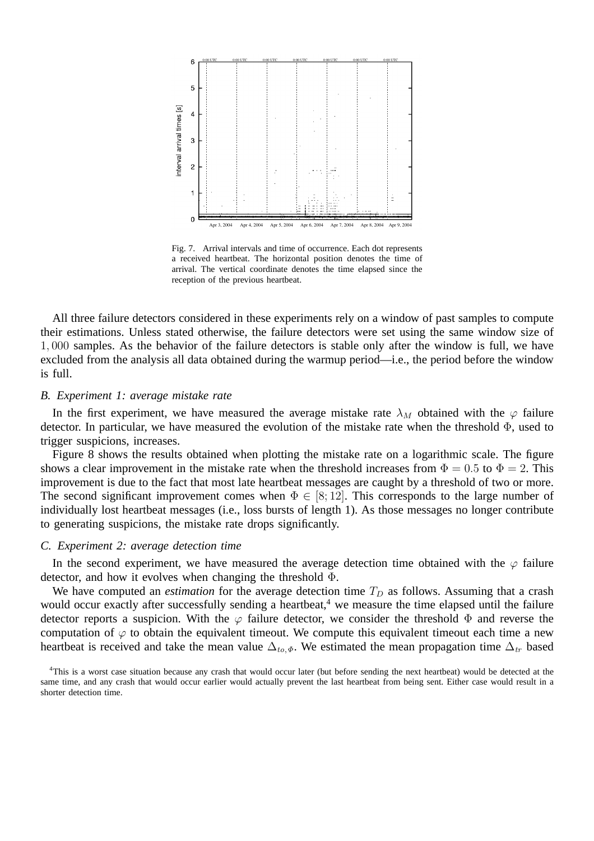

Fig. 7. Arrival intervals and time of occurrence. Each dot represents a received heartbeat. The horizontal position denotes the time of arrival. The vertical coordinate denotes the time elapsed since the reception of the previous heartbeat.

All three failure detectors considered in these experiments rely on a window of past samples to compute their estimations. Unless stated otherwise, the failure detectors were set using the same window size of 1, 000 samples. As the behavior of the failure detectors is stable only after the window is full, we have excluded from the analysis all data obtained during the warmup period—i.e., the period before the window is full.

#### *B. Experiment 1: average mistake rate*

In the first experiment, we have measured the average mistake rate  $\lambda_M$  obtained with the  $\varphi$  failure detector. In particular, we have measured the evolution of the mistake rate when the threshold Φ, used to trigger suspicions, increases.

Figure 8 shows the results obtained when plotting the mistake rate on a logarithmic scale. The figure shows a clear improvement in the mistake rate when the threshold increases from  $\Phi = 0.5$  to  $\Phi = 2$ . This improvement is due to the fact that most late heartbeat messages are caught by a threshold of two or more. The second significant improvement comes when  $\Phi \in [8, 12]$ . This corresponds to the large number of individually lost heartbeat messages (i.e., loss bursts of length 1). As those messages no longer contribute to generating suspicions, the mistake rate drops significantly.

# *C. Experiment 2: average detection time*

In the second experiment, we have measured the average detection time obtained with the  $\varphi$  failure detector, and how it evolves when changing the threshold Φ.

We have computed an *estimation* for the average detection time  $T_D$  as follows. Assuming that a crash would occur exactly after successfully sending a heartbeat,<sup>4</sup> we measure the time elapsed until the failure detector reports a suspicion. With the  $\varphi$  failure detector, we consider the threshold  $\Phi$  and reverse the computation of  $\varphi$  to obtain the equivalent timeout. We compute this equivalent timeout each time a new heartbeat is received and take the mean value  $\Delta_{to,\Phi}$ . We estimated the mean propagation time  $\Delta_{tr}$  based

<sup>4</sup>This is a worst case situation because any crash that would occur later (but before sending the next heartbeat) would be detected at the same time, and any crash that would occur earlier would actually prevent the last heartbeat from being sent. Either case would result in a shorter detection time.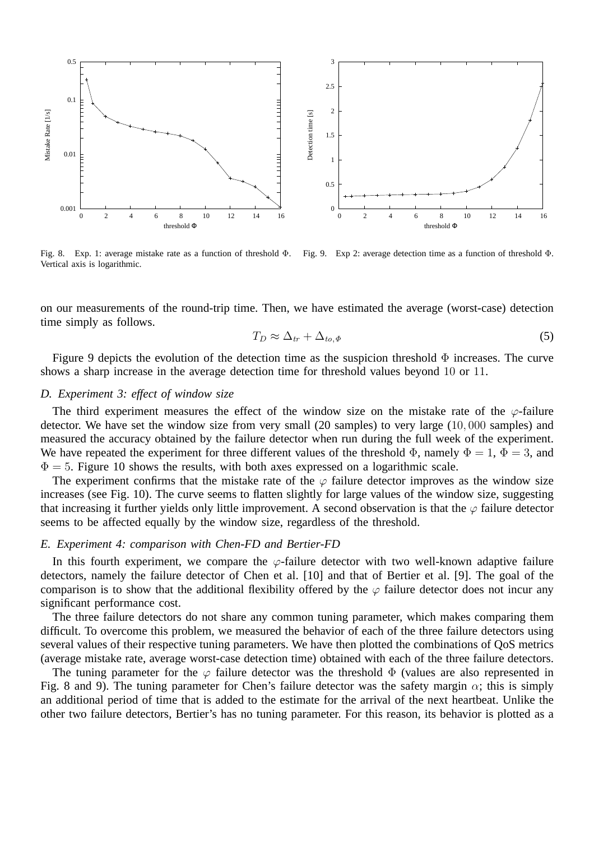

Fig. 8. Exp. 1: average mistake rate as a function of threshold Φ. Vertical axis is logarithmic. Fig. 9. Exp 2: average detection time as a function of threshold Φ.

on our measurements of the round-trip time. Then, we have estimated the average (worst-case) detection time simply as follows.

$$
T_D \approx \Delta_{tr} + \Delta_{to,\Phi} \tag{5}
$$

Figure 9 depicts the evolution of the detection time as the suspicion threshold  $\Phi$  increases. The curve shows a sharp increase in the average detection time for threshold values beyond 10 or 11.

# *D. Experiment 3: effect of window size*

The third experiment measures the effect of the window size on the mistake rate of the  $\varphi$ -failure detector. We have set the window size from very small (20 samples) to very large (10, 000 samples) and measured the accuracy obtained by the failure detector when run during the full week of the experiment. We have repeated the experiment for three different values of the threshold  $\Phi$ , namely  $\Phi = 1$ ,  $\Phi = 3$ , and  $\Phi = 5$ . Figure 10 shows the results, with both axes expressed on a logarithmic scale.

The experiment confirms that the mistake rate of the  $\varphi$  failure detector improves as the window size increases (see Fig. 10). The curve seems to flatten slightly for large values of the window size, suggesting that increasing it further yields only little improvement. A second observation is that the  $\varphi$  failure detector seems to be affected equally by the window size, regardless of the threshold.

# *E. Experiment 4: comparison with Chen-FD and Bertier-FD*

In this fourth experiment, we compare the  $\varphi$ -failure detector with two well-known adaptive failure detectors, namely the failure detector of Chen et al. [10] and that of Bertier et al. [9]. The goal of the comparison is to show that the additional flexibility offered by the  $\varphi$  failure detector does not incur any significant performance cost.

The three failure detectors do not share any common tuning parameter, which makes comparing them difficult. To overcome this problem, we measured the behavior of each of the three failure detectors using several values of their respective tuning parameters. We have then plotted the combinations of QoS metrics (average mistake rate, average worst-case detection time) obtained with each of the three failure detectors.

The tuning parameter for the  $\varphi$  failure detector was the threshold  $\Phi$  (values are also represented in Fig. 8 and 9). The tuning parameter for Chen's failure detector was the safety margin  $\alpha$ ; this is simply an additional period of time that is added to the estimate for the arrival of the next heartbeat. Unlike the other two failure detectors, Bertier's has no tuning parameter. For this reason, its behavior is plotted as a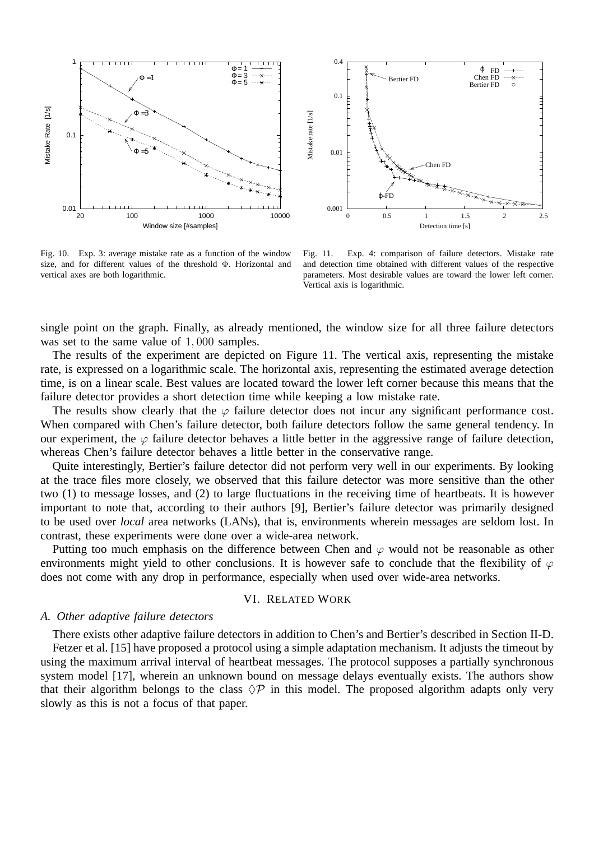



Fig. 10. Exp. 3: average mistake rate as a function of the window size, and for different values of the threshold Φ. Horizontal and vertical axes are both logarithmic.

Fig. 11. Exp. 4: comparison of failure detectors. Mistake rate and detection time obtained with different values of the respective parameters. Most desirable values are toward the lower left corner. Vertical axis is logarithmic.

single point on the graph. Finally, as already mentioned, the window size for all three failure detectors was set to the same value of 1,000 samples.

The results of the experiment are depicted on Figure 11. The vertical axis, representing the mistake rate, is expressed on a logarithmic scale. The horizontal axis, representing the estimated average detection time, is on a linear scale. Best values are located toward the lower left corner because this means that the failure detector provides a short detection time while keeping a low mistake rate.

The results show clearly that the  $\varphi$  failure detector does not incur any significant performance cost. When compared with Chen's failure detector, both failure detectors follow the same general tendency. In our experiment, the  $\varphi$  failure detector behaves a little better in the aggressive range of failure detection, whereas Chen's failure detector behaves a little better in the conservative range.

Quite interestingly, Bertier's failure detector did not perform very well in our experiments. By looking at the trace files more closely, we observed that this failure detector was more sensitive than the other two (1) to message losses, and (2) to large fluctuations in the receiving time of heartbeats. It is however important to note that, according to their authors [9], Bertier's failure detector was primarily designed to be used over *local* area networks (LANs), that is, environments wherein messages are seldom lost. In contrast, these experiments were done over a wide-area network.

Putting too much emphasis on the difference between Chen and  $\varphi$  would not be reasonable as other environments might yield to other conclusions. It is however safe to conclude that the flexibility of  $\varphi$ does not come with any drop in performance, especially when used over wide-area networks.

# VI. RELATED WORK

# *A. Other adaptive failure detectors*

There exists other adaptive failure detectors in addition to Chen's and Bertier's described in Section II-D.

Fetzer et al. [15] have proposed a protocol using a simple adaptation mechanism. It adjusts the timeout by using the maximum arrival interval of heartbeat messages. The protocol supposes a partially synchronous system model [17], wherein an unknown bound on message delays eventually exists. The authors show that their algorithm belongs to the class  $\Diamond P$  in this model. The proposed algorithm adapts only very slowly as this is not a focus of that paper.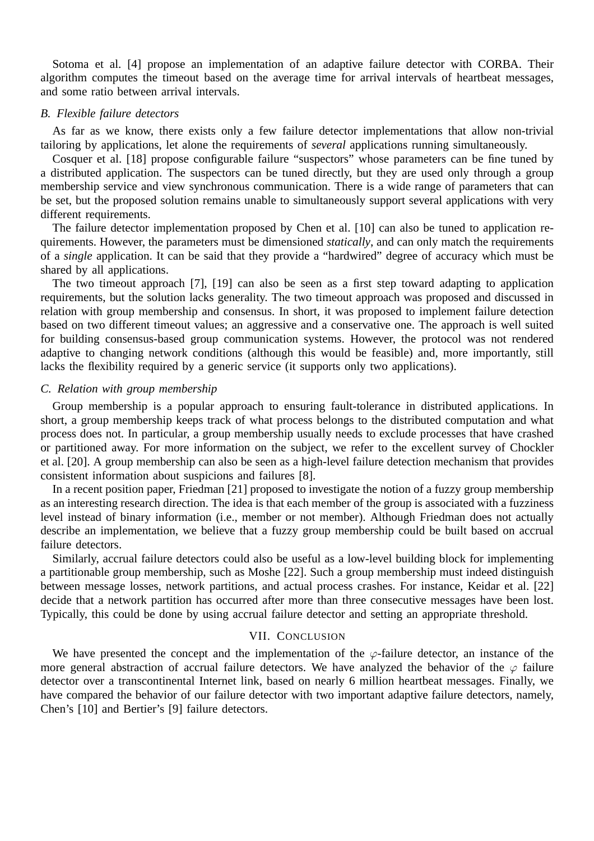Sotoma et al. [4] propose an implementation of an adaptive failure detector with CORBA. Their algorithm computes the timeout based on the average time for arrival intervals of heartbeat messages, and some ratio between arrival intervals.

# *B. Flexible failure detectors*

As far as we know, there exists only a few failure detector implementations that allow non-trivial tailoring by applications, let alone the requirements of *several* applications running simultaneously.

Cosquer et al. [18] propose configurable failure "suspectors" whose parameters can be fine tuned by a distributed application. The suspectors can be tuned directly, but they are used only through a group membership service and view synchronous communication. There is a wide range of parameters that can be set, but the proposed solution remains unable to simultaneously support several applications with very different requirements.

The failure detector implementation proposed by Chen et al. [10] can also be tuned to application requirements. However, the parameters must be dimensioned *statically*, and can only match the requirements of a *single* application. It can be said that they provide a "hardwired" degree of accuracy which must be shared by all applications.

The two timeout approach [7], [19] can also be seen as a first step toward adapting to application requirements, but the solution lacks generality. The two timeout approach was proposed and discussed in relation with group membership and consensus. In short, it was proposed to implement failure detection based on two different timeout values; an aggressive and a conservative one. The approach is well suited for building consensus-based group communication systems. However, the protocol was not rendered adaptive to changing network conditions (although this would be feasible) and, more importantly, still lacks the flexibility required by a generic service (it supports only two applications).

# *C. Relation with group membership*

Group membership is a popular approach to ensuring fault-tolerance in distributed applications. In short, a group membership keeps track of what process belongs to the distributed computation and what process does not. In particular, a group membership usually needs to exclude processes that have crashed or partitioned away. For more information on the subject, we refer to the excellent survey of Chockler et al. [20]. A group membership can also be seen as a high-level failure detection mechanism that provides consistent information about suspicions and failures [8].

In a recent position paper, Friedman [21] proposed to investigate the notion of a fuzzy group membership as an interesting research direction. The idea is that each member of the group is associated with a fuzziness level instead of binary information (i.e., member or not member). Although Friedman does not actually describe an implementation, we believe that a fuzzy group membership could be built based on accrual failure detectors.

Similarly, accrual failure detectors could also be useful as a low-level building block for implementing a partitionable group membership, such as Moshe [22]. Such a group membership must indeed distinguish between message losses, network partitions, and actual process crashes. For instance, Keidar et al. [22] decide that a network partition has occurred after more than three consecutive messages have been lost. Typically, this could be done by using accrual failure detector and setting an appropriate threshold.

#### VII. CONCLUSION

We have presented the concept and the implementation of the  $\varphi$ -failure detector, an instance of the more general abstraction of accrual failure detectors. We have analyzed the behavior of the  $\varphi$  failure detector over a transcontinental Internet link, based on nearly 6 million heartbeat messages. Finally, we have compared the behavior of our failure detector with two important adaptive failure detectors, namely, Chen's [10] and Bertier's [9] failure detectors.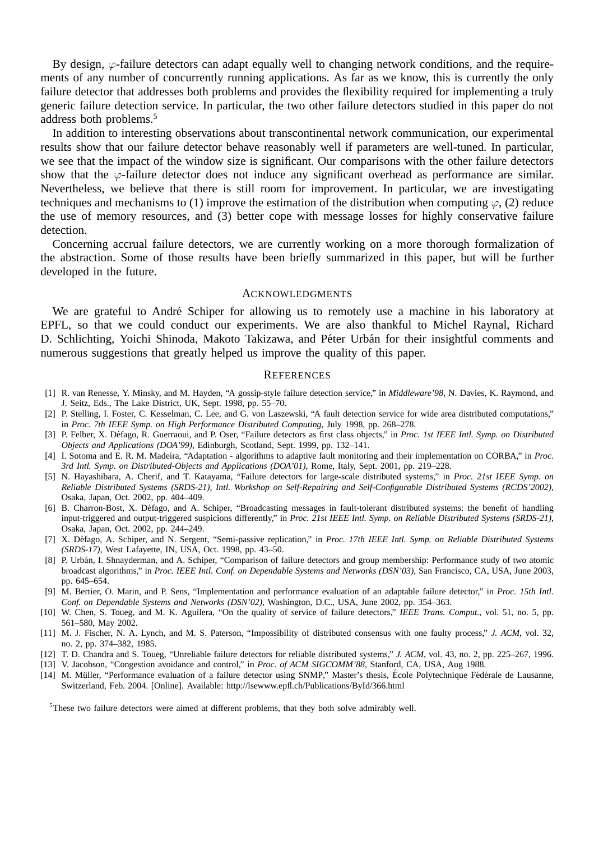By design,  $\varphi$ -failure detectors can adapt equally well to changing network conditions, and the requirements of any number of concurrently running applications. As far as we know, this is currently the only failure detector that addresses both problems and provides the flexibility required for implementing a truly generic failure detection service. In particular, the two other failure detectors studied in this paper do not address both problems.<sup>5</sup>

In addition to interesting observations about transcontinental network communication, our experimental results show that our failure detector behave reasonably well if parameters are well-tuned. In particular, we see that the impact of the window size is significant. Our comparisons with the other failure detectors show that the  $\varphi$ -failure detector does not induce any significant overhead as performance are similar. Nevertheless, we believe that there is still room for improvement. In particular, we are investigating techniques and mechanisms to (1) improve the estimation of the distribution when computing  $\varphi$ , (2) reduce the use of memory resources, and (3) better cope with message losses for highly conservative failure detection.

Concerning accrual failure detectors, we are currently working on a more thorough formalization of the abstraction. Some of those results have been briefly summarized in this paper, but will be further developed in the future.

#### ACKNOWLEDGMENTS

We are grateful to André Schiper for allowing us to remotely use a machine in his laboratory at EPFL, so that we could conduct our experiments. We are also thankful to Michel Raynal, Richard D. Schlichting, Yoichi Shinoda, Makoto Takizawa, and Péter Urbán for their insightful comments and numerous suggestions that greatly helped us improve the quality of this paper.

#### **REFERENCES**

- [1] R. van Renesse, Y. Minsky, and M. Hayden, "A gossip-style failure detection service," in *Middleware'98*, N. Davies, K. Raymond, and J. Seitz, Eds., The Lake District, UK, Sept. 1998, pp. 55–70.
- [2] P. Stelling, I. Foster, C. Kesselman, C. Lee, and G. von Laszewski, "A fault detection service for wide area distributed computations," in *Proc. 7th IEEE Symp. on High Performance Distributed Computing*, July 1998, pp. 268–278.
- [3] P. Felber, X. Défago, R. Guerraoui, and P. Oser, "Failure detectors as first class objects," in *Proc. 1st IEEE Intl. Symp. on Distributed Objects and Applications (DOA'99)*, Edinburgh, Scotland, Sept. 1999, pp. 132–141.
- [4] I. Sotoma and E. R. M. Madeira, "Adaptation algorithms to adaptive fault monitoring and their implementation on CORBA," in *Proc. 3rd Intl. Symp. on Distributed-Objects and Applications (DOA'01)*, Rome, Italy, Sept. 2001, pp. 219–228.
- [5] N. Hayashibara, A. Cherif, and T. Katayama, "Failure detectors for large-scale distributed systems," in *Proc. 21st IEEE Symp. on Reliable Distributed Systems (SRDS-21), Intl. Workshop on Self-Repairing and Self-Configurable Distributed Systems (RCDS'2002)*, Osaka, Japan, Oct. 2002, pp. 404–409.
- [6] B. Charron-Bost, X. Défago, and A. Schiper, "Broadcasting messages in fault-tolerant distributed systems: the benefit of handling input-triggered and output-triggered suspicions differently," in *Proc. 21st IEEE Intl. Symp. on Reliable Distributed Systems (SRDS-21)*, Osaka, Japan, Oct. 2002, pp. 244–249.
- [7] X. Défago, A. Schiper, and N. Sergent, "Semi-passive replication," in Proc. 17th IEEE Intl. Symp. on Reliable Distributed Systems *(SRDS-17)*, West Lafayette, IN, USA, Oct. 1998, pp. 43–50.
- [8] P. Urbán, I. Shnayderman, and A. Schiper, "Comparison of failure detectors and group membership: Performance study of two atomic broadcast algorithms," in *Proc. IEEE Intl. Conf. on Dependable Systems and Networks (DSN'03)*, San Francisco, CA, USA, June 2003, pp. 645–654.
- [9] M. Bertier, O. Marin, and P. Sens, "Implementation and performance evaluation of an adaptable failure detector," in *Proc. 15th Intl. Conf. on Dependable Systems and Networks (DSN'02)*, Washington, D.C., USA, June 2002, pp. 354–363.
- [10] W. Chen, S. Toueg, and M. K. Aguilera, "On the quality of service of failure detectors," *IEEE Trans. Comput.*, vol. 51, no. 5, pp. 561–580, May 2002.
- [11] M. J. Fischer, N. A. Lynch, and M. S. Paterson, "Impossibility of distributed consensus with one faulty process," *J. ACM*, vol. 32, no. 2, pp. 374–382, 1985.
- [12] T. D. Chandra and S. Toueg, "Unreliable failure detectors for reliable distributed systems," *J. ACM*, vol. 43, no. 2, pp. 225–267, 1996.
- [13] V. Jacobson, "Congestion avoidance and control," in *Proc. of ACM SIGCOMM'88*, Stanford, CA, USA, Aug 1988.
- [14] M. Müller, "Performance evaluation of a failure detector using SNMP," Master's thesis, École Polytechnique Fédérale de Lausanne, Switzerland, Feb. 2004. [Online]. Available: http://lsewww.epfl.ch/Publications/ById/366.html

<sup>5</sup>These two failure detectors were aimed at different problems, that they both solve admirably well.